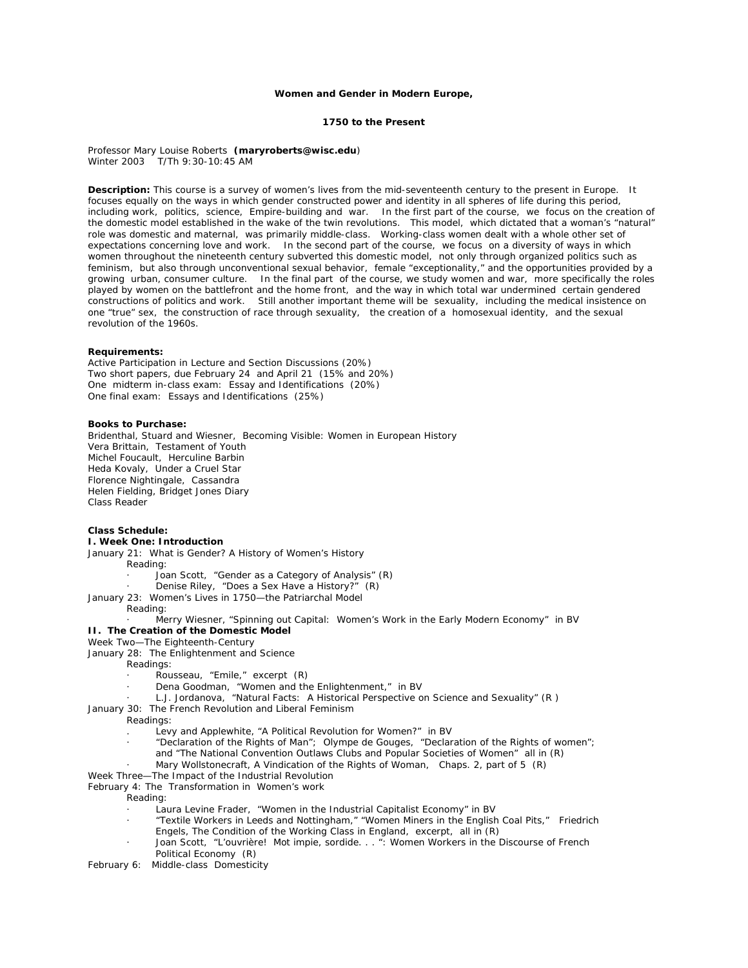# **Women and Gender in Modern Europe,**

# **1750 to the Present**

Professor Mary Louise Roberts **[\(maryroberts@wisc.edu](mailto:(maryroberts@wisc.edu)**) Winter 2003 T/Th 9:30-10:45 AM

**Description:** This course is a survey of women's lives from the mid-seventeenth century to the present in Europe. It focuses equally on the ways in which gender constructed power and identity in all spheres of life during this period, including work, politics, science, Empire-building and war. In the first part of the course, we focus on the creation of the domestic model established in the wake of the twin revolutions. This model, which dictated that a woman's "natural" role was domestic and maternal, was primarily middle-class. Working-class women dealt with a whole other set of expectations concerning love and work. In the second part of the course, we focus on a diversity of ways in which women throughout the nineteenth century subverted this domestic model, not only through organized politics such as feminism, but also through unconventional sexual behavior, female "exceptionality," and the opportunities provided by a growing urban, consumer culture. In the final part of the course, we study women and war, more specifically the roles played by women on the battlefront and the home front, and the way in which total war undermined certain gendered constructions of politics and work. Still another important theme will be sexuality, including the medical insistence on one "true" sex, the construction of race through sexuality, the creation of a homosexual identity, and the sexual revolution of the 1960s.

# **Requirements:**

Active Participation in Lecture and Section Discussions (20%) Two short papers, due February 24 and April 21 (15% and 20%) One midterm in-class exam: Essay and Identifications (20%) One final exam: Essays and Identifications (25%)

# **Books to Purchase:**

Bridenthal, Stuard and Wiesner, Becoming Visible: Women in European History Vera Brittain, Testament of Youth Michel Foucault, Herculine Barbin Heda Kovaly, Under a Cruel Star Florence Nightingale, Cassandra Helen Fielding, Bridget Jones Diary Class Reader

# **Class Schedule:**

**I. Week One: Introduction**

January 21: What is Gender? A History of Women's History

Reading:

- Joan Scott, "Gender as a Category of Analysis" (R)
- Denise Riley, "Does a Sex Have a History?" (R)
- January 23: Women's Lives in 1750—the Patriarchal Model

Reading:

Merry Wiesner, "Spinning out Capital: Women's Work in the Early Modern Economy" in BV **II. The Creation of the Domestic Model**

# Week Two—The Eighteenth-Century

January 28: The Enlightenment and Science

- Readings:
	- Rousseau, "Emile," excerpt (R)
	- Dena Goodman, "Women and the Enlightenment," in BV
	- L.J. Jordanova, "Natural Facts: A Historical Perspective on Science and Sexuality" (R)
- January 30: The French Revolution and Liberal Feminism

### Readings:

- Levy and Applewhite, "A Political Revolution for Women?" in BV
- · "Declaration of the Rights of Man"; Olympe de Gouges, "Declaration of the Rights of women"; and "The National Convention Outlaws Clubs and Popular Societies of Women" all in (R)
	- Mary Wollstonecraft, A Vindication of the Rights of Woman, Chaps. 2, part of 5 (R)
- Week Three—The Impact of the Industrial Revolution
- February 4: The Transformation in Women's work

Reading:

- Laura Levine Frader, "Women in the Industrial Capitalist Economy" in BV
- · "Textile Workers in Leeds and Nottingham," "Women Miners in the English Coal Pits," Friedrich Engels, The Condition of the Working Class in England, excerpt, all in (R)
- · Joan Scott, "L'ouvrière! Mot impie, sordide. . . ": Women Workers in the Discourse of French Political Economy (R)
- February 6: Middle-class Domesticity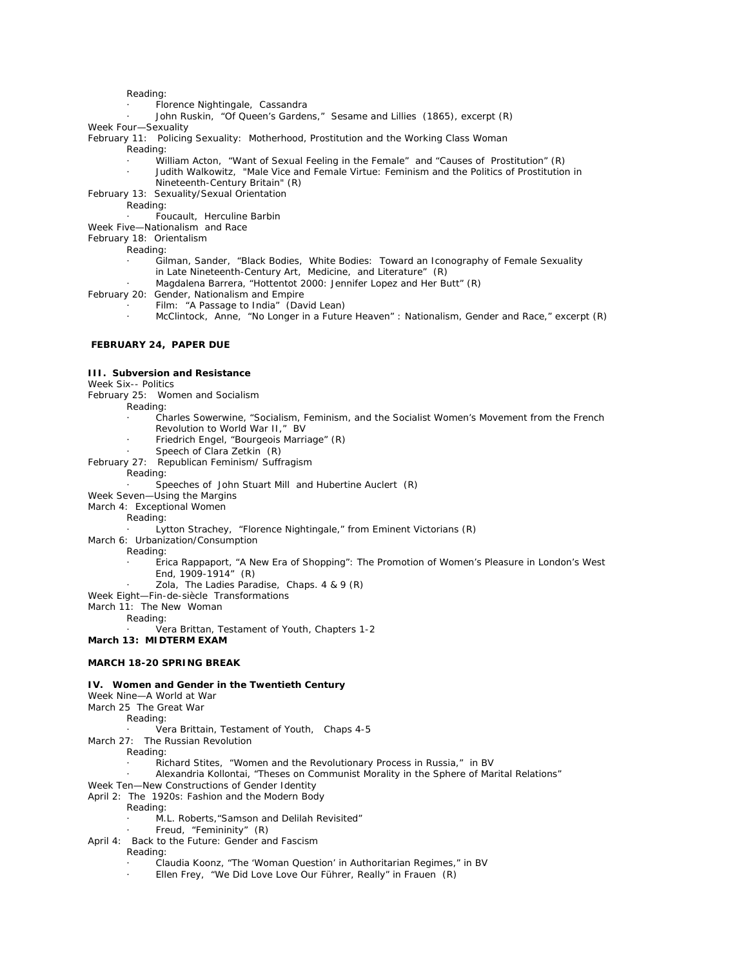# Reading:

- Florence Nightingale, Cassandra
- John Ruskin, "Of Queen's Gardens," Sesame and Lillies (1865), excerpt (R)

Week Four—Sexuality

February 11: Policing Sexuality: Motherhood, Prostitution and the Working Class Woman

Reading:

- · William Acton, "Want of Sexual Feeling in the Female" and "Causes of Prostitution" (R)
- · Judith Walkowitz, "Male Vice and Female Virtue: Feminism and the Politics of Prostitution in Nineteenth-Century Britain" (R)
- February 13: Sexuality/Sexual Orientation

Reading:

- Foucault, Herculine Barbin
- Week Five—Nationalism and Race
- February 18: Orientalism

Reading:

- Gilman, Sander, "Black Bodies, White Bodies: Toward an Iconography of Female Sexuality in Late Nineteenth-Century Art, Medicine, and Literature" (R)
- · Magdalena Barrera, "Hottentot 2000: Jennifer Lopez and Her Butt" (R)
- February 20: Gender, Nationalism and Empire
	- Film: "A Passage to India" (David Lean)
		- · McClintock, Anne, "No Longer in a Future Heaven" : Nationalism, Gender and Race," excerpt (R)

## **FEBRUARY 24, PAPER DUE**

#### **III. Subversion and Resistance**

Week Six-- Politics

February 25: Women and Socialism

Reading:

- · Charles Sowerwine, "Socialism, Feminism, and the Socialist Women's Movement from the French Revolution to World War II," BV
- · Friedrich Engel, "Bourgeois Marriage" (R)
- Speech of Clara Zetkin (R)
- February 27: Republican Feminism/ Suffragism

Reading:

- Speeches of John Stuart Mill and Hubertine Auclert (R)
- Week Seven—Using the Margins
- March 4: Exceptional Women
	- Reading:
		- Lytton Strachey, "Florence Nightingale," from Eminent Victorians (R)
- March 6: Urbanization/Consumption

Reading:

Erica Rappaport, "A New Era of Shopping": The Promotion of Women's Pleasure in London's West End, 1909-1914" (R)

Zola, The Ladies Paradise, Chaps. 4 & 9 (R)

- Week Eight—Fin-de-siècle Transformations
- March 11: The New Woman

Reading:

Vera Brittan, Testament of Youth, Chapters 1-2

**March 13: MIDTERM EXAM** 

#### **MARCH 18-20 SPRING BREAK**

# **IV. Women and Gender in the Twentieth Century**

Week Nine—A World at War

- March 25 The Great War
	- Reading:
		- · Vera Brittain, Testament of Youth, Chaps 4-5
- March 27: The Russian Revolution

Reading:

- · Richard Stites, "Women and the Revolutionary Process in Russia," in BV
	- · Alexandria Kollontai, "Theses on Communist Morality in the Sphere of Marital Relations"
- Week Ten—New Constructions of Gender Identity
- April 2: The 1920s: Fashion and the Modern Body
	- Reading:
		- · M.L. Roberts,"Samson and Delilah Revisited"
	- Freud, "Femininity" (R)
- April 4: Back to the Future: Gender and Fascism
	- Reading:
		- · Claudia Koonz, "The 'Woman Question' in Authoritarian Regimes," in BV
		- Ellen Frey, "We Did Love Love Our Führer, Really" in Frauen (R)